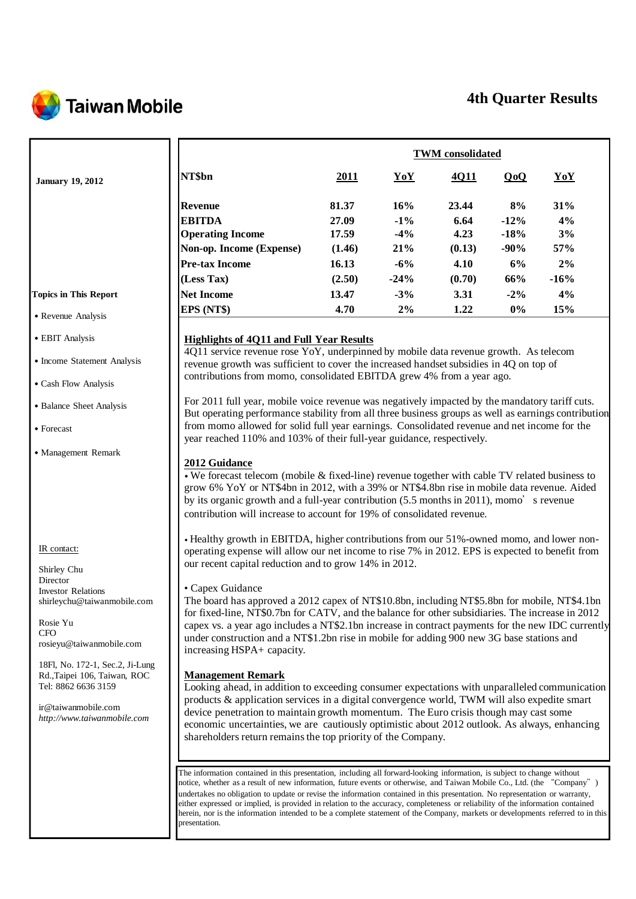

# **4th Quarter Results**

|                                                                                                                                                                                                                                                                                                                                                                                                                                                                                                                                                                                                                                                                        |                                                                                                                                                                                                                                                                                                                                                                                                                                                                                                                                                                                                                                                                                                                                                                                                                                                                                                                                                                                                                                                                                                                                                                                                                                                                                                                                                                                                                                                                                                                                                                                                                                                                           | <b>TWM</b> consolidated                                               |                                                                   |                                                                   |                                                                  |                                                     |  |  |
|------------------------------------------------------------------------------------------------------------------------------------------------------------------------------------------------------------------------------------------------------------------------------------------------------------------------------------------------------------------------------------------------------------------------------------------------------------------------------------------------------------------------------------------------------------------------------------------------------------------------------------------------------------------------|---------------------------------------------------------------------------------------------------------------------------------------------------------------------------------------------------------------------------------------------------------------------------------------------------------------------------------------------------------------------------------------------------------------------------------------------------------------------------------------------------------------------------------------------------------------------------------------------------------------------------------------------------------------------------------------------------------------------------------------------------------------------------------------------------------------------------------------------------------------------------------------------------------------------------------------------------------------------------------------------------------------------------------------------------------------------------------------------------------------------------------------------------------------------------------------------------------------------------------------------------------------------------------------------------------------------------------------------------------------------------------------------------------------------------------------------------------------------------------------------------------------------------------------------------------------------------------------------------------------------------------------------------------------------------|-----------------------------------------------------------------------|-------------------------------------------------------------------|-------------------------------------------------------------------|------------------------------------------------------------------|-----------------------------------------------------|--|--|
| <b>January 19, 2012</b>                                                                                                                                                                                                                                                                                                                                                                                                                                                                                                                                                                                                                                                | NT\$bn                                                                                                                                                                                                                                                                                                                                                                                                                                                                                                                                                                                                                                                                                                                                                                                                                                                                                                                                                                                                                                                                                                                                                                                                                                                                                                                                                                                                                                                                                                                                                                                                                                                                    | 2011                                                                  | YoY                                                               | 4Q11                                                              | QoQ                                                              | YoY                                                 |  |  |
| <b>Topics in This Report</b><br>• Revenue Analysis<br>• EBIT Analysis                                                                                                                                                                                                                                                                                                                                                                                                                                                                                                                                                                                                  | <b>Revenue</b><br><b>EBITDA</b><br><b>Operating Income</b><br>Non-op. Income (Expense)<br><b>Pre-tax Income</b><br>(Less Tax)<br><b>Net Income</b><br>EPS (NT\$)<br><b>Highlights of 4Q11 and Full Year Results</b>                                                                                                                                                                                                                                                                                                                                                                                                                                                                                                                                                                                                                                                                                                                                                                                                                                                                                                                                                                                                                                                                                                                                                                                                                                                                                                                                                                                                                                                       | 81.37<br>27.09<br>17.59<br>(1.46)<br>16.13<br>(2.50)<br>13.47<br>4.70 | 16%<br>$-1%$<br>$-4%$<br>21%<br>$-6%$<br>$-24%$<br>$-3%$<br>$2\%$ | 23.44<br>6.64<br>4.23<br>(0.13)<br>4.10<br>(0.70)<br>3.31<br>1.22 | 8%<br>$-12%$<br>$-18%$<br>$-90%$<br>6%<br>66%<br>$-2\%$<br>$0\%$ | 31%<br>4%<br>3%<br>57%<br>2%<br>$-16%$<br>4%<br>15% |  |  |
| • Income Statement Analysis                                                                                                                                                                                                                                                                                                                                                                                                                                                                                                                                                                                                                                            | 4Q11 service revenue rose YoY, underpinned by mobile data revenue growth. As telecom<br>revenue growth was sufficient to cover the increased handset subsidies in 4Q on top of                                                                                                                                                                                                                                                                                                                                                                                                                                                                                                                                                                                                                                                                                                                                                                                                                                                                                                                                                                                                                                                                                                                                                                                                                                                                                                                                                                                                                                                                                            |                                                                       |                                                                   |                                                                   |                                                                  |                                                     |  |  |
| • Cash Flow Analysis                                                                                                                                                                                                                                                                                                                                                                                                                                                                                                                                                                                                                                                   | contributions from momo, consolidated EBITDA grew 4% from a year ago.                                                                                                                                                                                                                                                                                                                                                                                                                                                                                                                                                                                                                                                                                                                                                                                                                                                                                                                                                                                                                                                                                                                                                                                                                                                                                                                                                                                                                                                                                                                                                                                                     |                                                                       |                                                                   |                                                                   |                                                                  |                                                     |  |  |
| • Balance Sheet Analysis<br>• Forecast                                                                                                                                                                                                                                                                                                                                                                                                                                                                                                                                                                                                                                 | For 2011 full year, mobile voice revenue was negatively impacted by the mandatory tariff cuts.<br>But operating performance stability from all three business groups as well as earnings contribution<br>from momo allowed for solid full year earnings. Consolidated revenue and net income for the                                                                                                                                                                                                                                                                                                                                                                                                                                                                                                                                                                                                                                                                                                                                                                                                                                                                                                                                                                                                                                                                                                                                                                                                                                                                                                                                                                      |                                                                       |                                                                   |                                                                   |                                                                  |                                                     |  |  |
| • Management Remark<br>IR contact:<br>Shirley Chu<br>Director<br><b>Investor Relations</b><br>shirleychu@taiwanmobile.com<br>Rosie Yu<br><b>CFO</b><br>rosieyu@taiwanmobile.com<br>18Fl, No. 172-1, Sec.2, Ji-Lung<br>Rd., Taipei 106, Taiwan, ROC<br>Tel: 8862 6636 3159<br>ir@taiwanmobile.com<br>http://www.taiwanmobile.com                                                                                                                                                                                                                                                                                                                                        | year reached 110% and 103% of their full-year guidance, respectively.<br>2012 Guidance<br>$\bullet$ We forecast telecom (mobile & fixed-line) revenue together with cable TV related business to<br>grow 6% YoY or NT\$4bn in 2012, with a 39% or NT\$4.8bn rise in mobile data revenue. Aided<br>by its organic growth and a full-year contribution (5.5 months in 2011), momo's revenue<br>contribution will increase to account for 19% of consolidated revenue.<br>• Healthy growth in EBITDA, higher contributions from our 51%-owned momo, and lower non-<br>operating expense will allow our net income to rise 7% in 2012. EPS is expected to benefit from<br>our recent capital reduction and to grow 14% in 2012.<br>• Capex Guidance<br>The board has approved a 2012 capex of NT\$10.8bn, including NT\$5.8bn for mobile, NT\$4.1bn<br>for fixed-line, NT\$0.7bn for CATV, and the balance for other subsidiaries. The increase in 2012<br>capex vs. a year ago includes a NT\$2.1bn increase in contract payments for the new IDC currently<br>under construction and a NT\$1.2bn rise in mobile for adding 900 new 3G base stations and<br>increasing HSPA+ capacity.<br><b>Management Remark</b><br>Looking ahead, in addition to exceeding consumer expectations with unparalleled communication<br>products & application services in a digital convergence world, TWM will also expedite smart<br>device penetration to maintain growth momentum. The Euro crisis though may cast some<br>economic uncertainties, we are cautiously optimistic about 2012 outlook. As always, enhancing<br>shareholders return remains the top priority of the Company. |                                                                       |                                                                   |                                                                   |                                                                  |                                                     |  |  |
| The information contained in this presentation, including all forward-looking information, is subject to change without<br>notice, whether as a result of new information, future events or otherwise, and Taiwan Mobile Co., Ltd. (the "Company")<br>undertakes no obligation to update or revise the information contained in this presentation. No representation or warranty,<br>either expressed or implied, is provided in relation to the accuracy, completeness or reliability of the information contained<br>herein, nor is the information intended to be a complete statement of the Company, markets or developments referred to in this<br>presentation. |                                                                                                                                                                                                                                                                                                                                                                                                                                                                                                                                                                                                                                                                                                                                                                                                                                                                                                                                                                                                                                                                                                                                                                                                                                                                                                                                                                                                                                                                                                                                                                                                                                                                           |                                                                       |                                                                   |                                                                   |                                                                  |                                                     |  |  |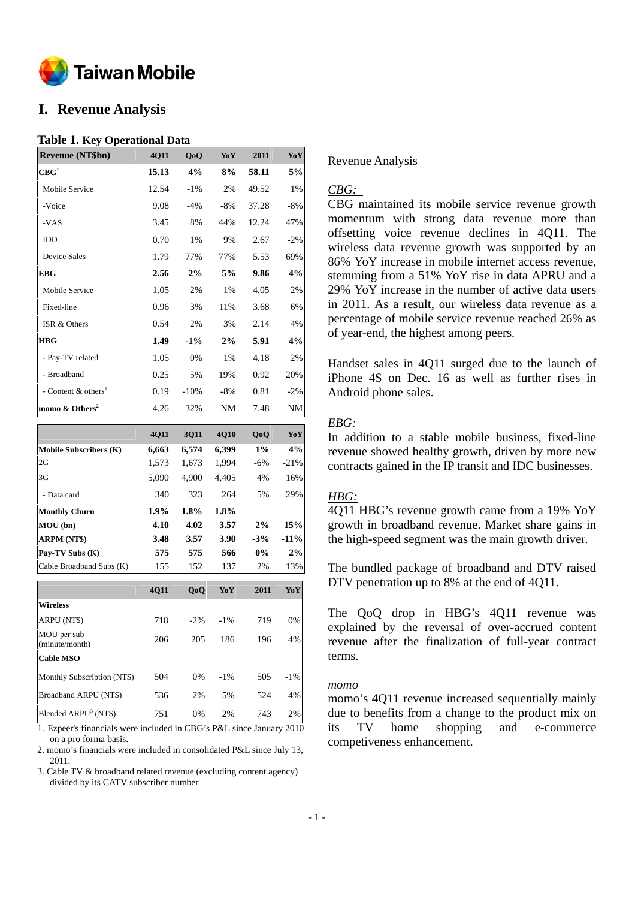

# **I. Revenue Analysis**

#### **Table 1. Key Operational Data**

| <b>Revenue (NT\$bn)</b>           | 4Q11  | QoQ    | YoY       | 2011  | YoY    |
|-----------------------------------|-------|--------|-----------|-------|--------|
| CBG <sup>1</sup>                  | 15.13 | 4%     | 8%        | 58.11 | 5%     |
| Mobile Service                    | 12.54 | $-1\%$ | 2%        | 49.52 | 1%     |
| -Voice                            | 9.08  | $-4\%$ | -8%       | 37.28 | -8%    |
| -VAS                              | 3.45  | 8%     | 44%       | 12.24 | 47%    |
| IDD                               | 0.70  | 1%     | 9%        | 2.67  | $-2\%$ |
| Device Sales                      | 1.79  | 77%    | 77%       | 5.53  | 69%    |
| <b>EBG</b>                        | 2.56  | 2%     | 5%        | 9.86  | 4%     |
| Mobile Service                    | 1.05  | 2%     | 1%        | 4.05  | 2%     |
| Fixed-line                        | 0.96  | 3%     | 11%       | 3.68  | 6%     |
| ISR & Others                      | 0.54  | 2%     | 3%        | 2.14  | 4%     |
| <b>HBG</b>                        | 1.49  | $-1\%$ | 2%        | 5.91  | 4%     |
| - Pay-TV related                  | 1.05  | 0%     | 1%        | 4.18  | 2%     |
| - Broadband                       | 0.25  | 5%     | 19%       | 0.92  | 20%    |
| - Content $&$ others <sup>1</sup> | 0.19  | $-10%$ | -8%       | 0.81  | $-2\%$ |
| momo $&$ Others <sup>2</sup>      | 4.26  | 32%    | <b>NM</b> | 7.48  | NM     |

|                               | <b>4011</b> | 3011  | <b>4010</b> | 0 <sub>0</sub> | YoY    |
|-------------------------------|-------------|-------|-------------|----------------|--------|
| <b>Mobile Subscribers (K)</b> | 6,663       | 6,574 | 6,399       | 1%             | 4%     |
| 2G                            | 1,573       | 1,673 | 1.994       | $-6%$          | $-21%$ |
| 3G                            | 5,090       | 4.900 | 4.405       | 4%             | 16%    |
| - Data card                   | 340         | 323   | 264         | 5%             | 29%    |
| <b>Monthly Churn</b>          | $1.9\%$     | 1.8%  | $1.8\%$     |                |        |
| MOU (bn)                      | 4.10        | 4.02  | 3.57        | 2%             | 15%    |
| <b>ARPM (NT\$)</b>            | 3.48        | 3.57  | 3.90        | $-3%$          | $-11%$ |
| Pay-TV Subs (K)               | 575         | 575   | 566         | $0\%$          | 2%     |
| Cable Broadband Subs (K)      | 155         | 152   | 137         | 2%             | 13%    |

|                                  | 4Q11 | 0 <sub>0</sub> | YoY    | 2011 | YoY    |
|----------------------------------|------|----------------|--------|------|--------|
| <b>Wireless</b>                  |      |                |        |      |        |
| ARPU (NT\$)                      | 718  | $-2.96$        | $-1\%$ | 719  | 0%     |
| MOU per sub<br>(minute/month)    | 206  | 205            | 186    | 196  | 4%     |
| <b>Cable MSO</b>                 |      |                |        |      |        |
| Monthly Subscription (NT\$)      | 504  | 0%             | $-1\%$ | 505  | $-1\%$ |
| Broadband ARPU (NT\$)            | 536  | 2%             | .5%    | 524  | 4%     |
| Blended ARPU <sup>3</sup> (NT\$) | 751  | 0%             | 2%     | 743  | 2%     |

1. Ezpeer's financials were included in CBG's P&L since January 2010 on a pro forma basis.

2. momo's financials were included in consolidated P&L since July 13, 2011.

3. Cable TV & broadband related revenue (excluding content agency) divided by its CATV subscriber number

#### Revenue Analysis

#### *CBG:*

CBG maintained its mobile service revenue growth momentum with strong data revenue more than offsetting voice revenue declines in 4Q11. The wireless data revenue growth was supported by an 86% YoY increase in mobile internet access revenue, stemming from a 51% YoY rise in data APRU and a 29% YoY increase in the number of active data users in 2011. As a result, our wireless data revenue as a percentage of mobile service revenue reached 26% as of year-end, the highest among peers.

Handset sales in 4Q11 surged due to the launch of iPhone 4S on Dec. 16 as well as further rises in Android phone sales.

#### *EBG:*

In addition to a stable mobile business, fixed-line revenue showed healthy growth, driven by more new contracts gained in the IP transit and IDC businesses.

#### *HBG:*

4Q11 HBG's revenue growth came from a 19% YoY growth in broadband revenue. Market share gains in the high-speed segment was the main growth driver.

The bundled package of broadband and DTV raised DTV penetration up to 8% at the end of 4Q11.

The QoQ drop in HBG's 4Q11 revenue was explained by the reversal of over-accrued content revenue after the finalization of full-year contract terms.

#### *momo*

momo's 4Q11 revenue increased sequentially mainly due to benefits from a change to the product mix on its TV home shopping and e-commerce competiveness enhancement.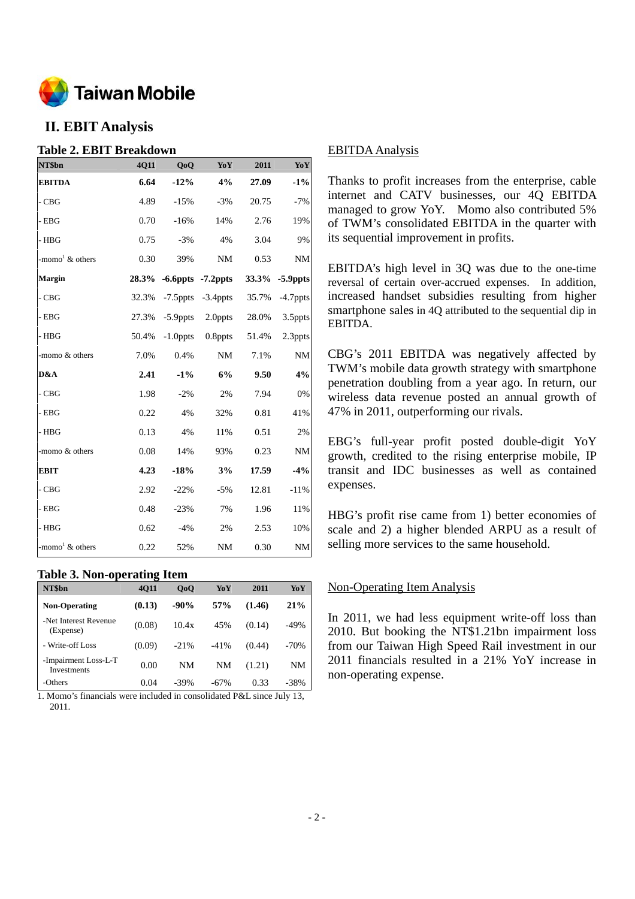

# **II. EBIT Analysis**

### **Table 2. EBIT Breakdown**

| NT\$bn                         | 4Q11  | Q <sub>o</sub> Q | YoY                     | 2011  | YoY         |
|--------------------------------|-------|------------------|-------------------------|-------|-------------|
| <b>EBITDA</b>                  | 6.64  | $-12%$           | 4%                      | 27.09 | $-1\%$      |
| $-CBG$                         | 4.89  | $-15%$           | $-3%$                   | 20.75 | $-7%$       |
| - EBG                          | 0.70  | $-16%$           | 14%                     | 2.76  | 19%         |
| - HBG                          | 0.75  | $-3%$            | 4%                      | 3.04  | 9%          |
| -momo <sup>1</sup> $\&$ others | 0.30  | 39%              | $\rm{NM}$               | 0.53  | <b>NM</b>   |
| Margin                         | 28.3% |                  | $-6.6$ ppts $-7.2$ ppts | 33.3% | -5.9ppts    |
| - CBG                          | 32.3% | $-7.5$ ppts      | $-3.4$ ppts             | 35.7% | $-4.7$ ppts |
| - EBG                          | 27.3% | $-5.9$ ppts      | 2.0ppts                 | 28.0% | 3.5ppts     |
| - HBG                          | 50.4% | $-1.0$ ppts      | $0.8$ ppts              | 51.4% | 2.3ppts     |
| -momo & others                 | 7.0%  | 0.4%             | <b>NM</b>               | 7.1%  | <b>NM</b>   |
| D&A                            | 2.41  | $-1\%$           | 6%                      | 9.50  | 4%          |
| - CBG                          | 1.98  | $-2%$            | 2%                      | 7.94  | 0%          |
| - EBG                          | 0.22  | 4%               | 32%                     | 0.81  | 41%         |
| - HBG                          | 0.13  | 4%               | 11%                     | 0.51  | 2%          |
| -momo & others                 | 0.08  | 14%              | 93%                     | 0.23  | <b>NM</b>   |
| EBIT                           | 4.23  | $-18%$           | 3%                      | 17.59 | $-4%$       |
| $-CBG$                         | 2.92  | $-22%$           | $-5%$                   | 12.81 | $-11%$      |
| - EBG                          | 0.48  | $-23%$           | 7%                      | 1.96  | 11%         |
| - HBG                          | 0.62  | $-4%$            | 2%                      | 2.53  | 10%         |
| -momo <sup>1</sup> $\&$ others | 0.22  | 52%              | <b>NM</b>               | 0.30  | NM          |

### **Table 3. Non-operating Item**

| NT\$bn                                     | <b>4011</b> | 0 <sub>0</sub> | YoY    | 2011   | YoY    |
|--------------------------------------------|-------------|----------------|--------|--------|--------|
| <b>Non-Operating</b>                       | (0.13)      | $-90\%$        | 57%    | (1.46) | 21%    |
| -Net Interest Revenue<br>(Expense)         | (0.08)      | 10.4x          | 45%    | (0.14) | $-49%$ |
| - Write-off Loss                           | (0.09)      | $-21%$         | $-41%$ | (0.44) | $-70%$ |
| -Impairment Loss-L-T<br><b>Investments</b> | 0.00        | NM             | NM     | (1.21) | NM     |
| -Others                                    | 0.04        | $-39%$         | $-67%$ | 0.33   | -38%   |

1. Momo's financials were included in consolidated P&L since July 13, 2011.

#### EBITDA Analysis

Thanks to profit increases from the enterprise, cable internet and CATV businesses, our 4Q EBITDA managed to grow YoY. Momo also contributed 5% of TWM's consolidated EBITDA in the quarter with its sequential improvement in profits.

EBITDA's high level in 3Q was due to the one-time reversal of certain over-accrued expenses. In addition, increased handset subsidies resulting from higher smartphone sales in 4Q attributed to the sequential dip in EBITDA.

CBG's 2011 EBITDA was negatively affected by TWM's mobile data growth strategy with smartphone penetration doubling from a year ago. In return, our wireless data revenue posted an annual growth of 47% in 2011, outperforming our rivals.

EBG's full-year profit posted double-digit YoY growth, credited to the rising enterprise mobile, IP transit and IDC businesses as well as contained expenses.

HBG's profit rise came from 1) better economies of scale and 2) a higher blended ARPU as a result of selling more services to the same household.

### Non-Operating Item Analysis

In 2011, we had less equipment write-off loss than 2010. But booking the NT\$1.21bn impairment loss from our Taiwan High Speed Rail investment in our 2011 financials resulted in a 21% YoY increase in non-operating expense.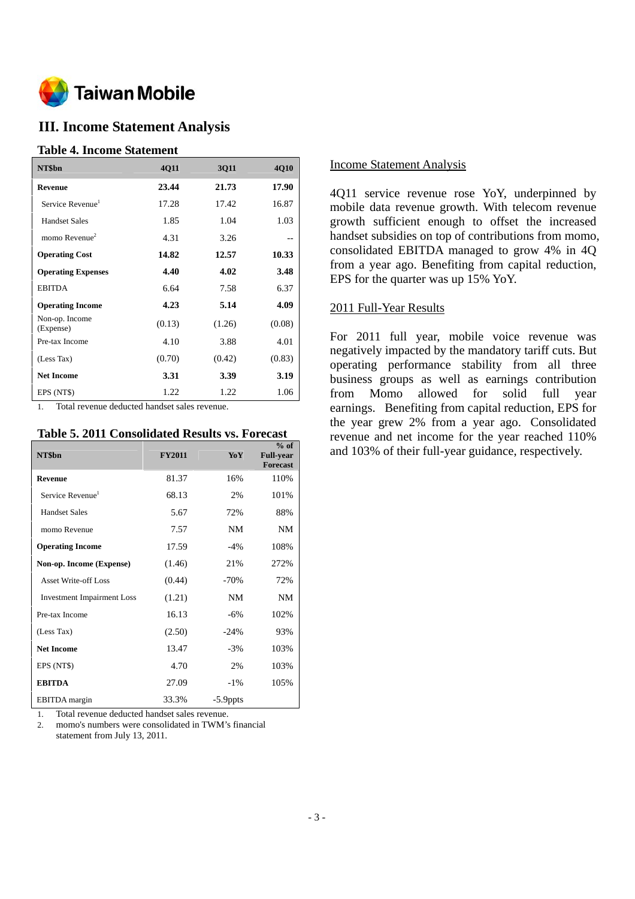

# **III. Income Statement Analysis**

#### **Table 4. Income Statement**

| NT\$bn                       | 4Q11   | 3Q11   | 4Q10   |
|------------------------------|--------|--------|--------|
| Revenue                      | 23.44  | 21.73  | 17.90  |
| Service Revenue <sup>1</sup> | 17.28  | 17.42  | 16.87  |
| <b>Handset Sales</b>         | 1.85   | 1.04   | 1.03   |
| momo Revenue $2$             | 4.31   | 3.26   |        |
| <b>Operating Cost</b>        | 14.82  | 12.57  | 10.33  |
| <b>Operating Expenses</b>    | 4.40   | 4.02   | 3.48   |
| <b>EBITDA</b>                | 6.64   | 7.58   | 6.37   |
| <b>Operating Income</b>      | 4.23   | 5.14   | 4.09   |
| Non-op. Income<br>(Expense)  | (0.13) | (1.26) | (0.08) |
| Pre-tax Income               | 4.10   | 3.88   | 4.01   |
| (Less Tax)                   | (0.70) | (0.42) | (0.83) |
| <b>Net Income</b>            | 3.31   | 3.39   | 3.19   |
| EPS (NT\$)                   | 1.22   | 1.22   | 1.06   |

1. Total revenue deducted handset sales revenue.

#### **Table 5. 2011 Consolidated Results vs. Forecast**

| NT\$bn                            | <b>FY2011</b> | YoY         | $%$ of<br><b>Full-year</b><br><b>Forecast</b> |
|-----------------------------------|---------------|-------------|-----------------------------------------------|
| <b>Revenue</b>                    | 81.37         | 16%         | 110%                                          |
| Service Revenue <sup>1</sup>      | 68.13         | 2%          | 101%                                          |
| <b>Handset Sales</b>              | 5.67          | 72%         | 88%                                           |
| momo Revenue                      | 7.57          | NM          | <b>NM</b>                                     |
| <b>Operating Income</b>           | 17.59         | $-4%$       | 108%                                          |
| Non-op. Income (Expense)          | (1.46)        | 21%         | 272%                                          |
| <b>Asset Write-off Loss</b>       | (0.44)        | $-70%$      | 72%                                           |
| <b>Investment Impairment Loss</b> | (1.21)        | NM          | <b>NM</b>                                     |
| Pre-tax Income                    | 16.13         | $-6\%$      | 102%                                          |
| (Less Tax)                        | (2.50)        | $-24%$      | 93%                                           |
| <b>Net Income</b>                 | 13.47         | $-3%$       | 103%                                          |
| EPS (NT\$)                        | 4.70          | 2%          | 103%                                          |
| <b>EBITDA</b>                     | 27.09         | $-1\%$      | 105%                                          |
| <b>EBITDA</b> margin              | 33.3%         | $-5.9$ ppts |                                               |

1. Total revenue deducted handset sales revenue.

2. momo's numbers were consolidated in TWM's financial statement from July 13, 2011.

#### Income Statement Analysis

4Q11 service revenue rose YoY, underpinned by mobile data revenue growth. With telecom revenue growth sufficient enough to offset the increased handset subsidies on top of contributions from momo, consolidated EBITDA managed to grow 4% in 4Q from a year ago. Benefiting from capital reduction, EPS for the quarter was up 15% YoY.

#### 2011 Full-Year Results

For 2011 full year, mobile voice revenue was negatively impacted by the mandatory tariff cuts. But operating performance stability from all three business groups as well as earnings contribution from Momo allowed for solid full year earnings. Benefiting from capital reduction, EPS for the year grew 2% from a year ago. Consolidated revenue and net income for the year reached 110% and 103% of their full-year guidance, respectively.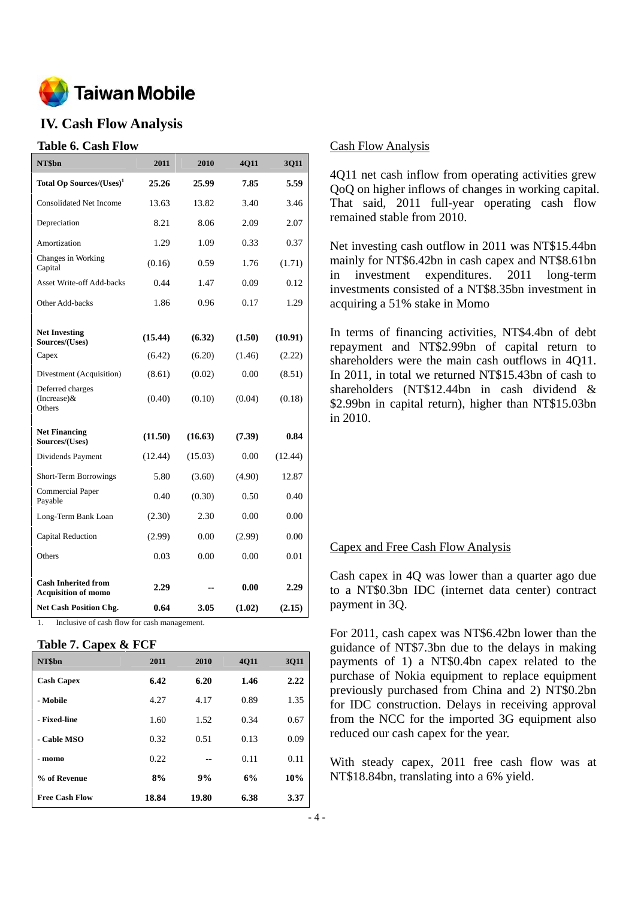

# **IV. Cash Flow Analysis**

#### **Table 6. Cash Flow**

| NT\$bn                                                   | 2011    | 2010    | 4Q11   | 3Q11    |
|----------------------------------------------------------|---------|---------|--------|---------|
| Total Op Sources/(Uses) <sup>1</sup>                     | 25.26   | 25.99   | 7.85   | 5.59    |
| <b>Consolidated Net Income</b>                           | 13.63   | 13.82   | 3.40   | 3.46    |
| Depreciation                                             | 8.21    | 8.06    | 2.09   | 2.07    |
| Amortization                                             | 1.29    | 1.09    | 0.33   | 0.37    |
| Changes in Working<br>Capital                            | (0.16)  | 0.59    | 1.76   | (1.71)  |
| <b>Asset Write-off Add-backs</b>                         | 0.44    | 1.47    | 0.09   | 0.12    |
| Other Add-backs                                          | 1.86    | 0.96    | 0.17   | 1.29    |
|                                                          |         |         |        |         |
| <b>Net Investing</b><br>Sources/(Uses)                   | (15.44) | (6.32)  | (1.50) | (10.91) |
| Capex                                                    | (6.42)  | (6.20)  | (1.46) | (2.22)  |
| Divestment (Acquisition)                                 | (8.61)  | (0.02)  | 0.00   | (8.51)  |
| Deferred charges<br>$(Increase)$ &<br>Others             | (0.40)  | (0.10)  | (0.04) | (0.18)  |
| <b>Net Financing</b><br>Sources/(Uses)                   | (11.50) | (16.63) | (7.39) | 0.84    |
| Dividends Payment                                        | (12.44) | (15.03) | 0.00   | (12.44) |
| <b>Short-Term Borrowings</b>                             | 5.80    | (3.60)  | (4.90) | 12.87   |
| <b>Commercial Paper</b><br>Payable                       | 0.40    | (0.30)  | 0.50   | 0.40    |
| Long-Term Bank Loan                                      | (2.30)  | 2.30    | 0.00   | 0.00    |
| Capital Reduction                                        | (2.99)  | 0.00    | (2.99) | 0.00    |
| Others                                                   | 0.03    | 0.00    | 0.00   | 0.01    |
| <b>Cash Inherited from</b><br><b>Acquisition of momo</b> | 2.29    | --      | 0.00   | 2.29    |
| <b>Net Cash Position Chg.</b>                            | 0.64    | 3.05    | (1.02) | (2.15)  |

1. Inclusive of cash flow for cash management.

#### **Table 7. Capex & FCF**

| NT\$bn                | 2011  | 2010  | <b>4011</b> | <b>3Q11</b> |
|-----------------------|-------|-------|-------------|-------------|
| <b>Cash Capex</b>     | 6.42  | 6.20  | 1.46        | 2.22        |
| - Mobile              | 4.27  | 4.17  | 0.89        | 1.35        |
| - Fixed-line          | 1.60  | 1.52  | 0.34        | 0.67        |
| - Cable MSO           | 0.32  | 0.51  | 0.13        | 0.09        |
| - momo                | 0.22  |       | 0.11        | 0.11        |
| % of Revenue          | 8%    | 9%    | 6%          | 10%         |
| <b>Free Cash Flow</b> | 18.84 | 19.80 | 6.38        | 3.37        |

#### Cash Flow Analysis

4Q11 net cash inflow from operating activities grew QoQ on higher inflows of changes in working capital. That said, 2011 full-year operating cash flow remained stable from 2010.

Net investing cash outflow in 2011 was NT\$15.44bn mainly for NT\$6.42bn in cash capex and NT\$8.61bn in investment expenditures. 2011 long-term investments consisted of a NT\$8.35bn investment in acquiring a 51% stake in Momo

In terms of financing activities, NT\$4.4bn of debt repayment and NT\$2.99bn of capital return to shareholders were the main cash outflows in 4Q11. In 2011, in total we returned NT\$15.43bn of cash to shareholders (NT\$12.44bn in cash dividend & \$2.99bn in capital return), higher than NT\$15.03bn in 2010.

#### Capex and Free Cash Flow Analysis

Cash capex in 4Q was lower than a quarter ago due to a NT\$0.3bn IDC (internet data center) contract payment in 3Q.

For 2011, cash capex was NT\$6.42bn lower than the guidance of NT\$7.3bn due to the delays in making payments of 1) a NT\$0.4bn capex related to the purchase of Nokia equipment to replace equipment previously purchased from China and 2) NT\$0.2bn for IDC construction. Delays in receiving approval from the NCC for the imported 3G equipment also reduced our cash capex for the year.

With steady capex, 2011 free cash flow was at NT\$18.84bn, translating into a 6% yield.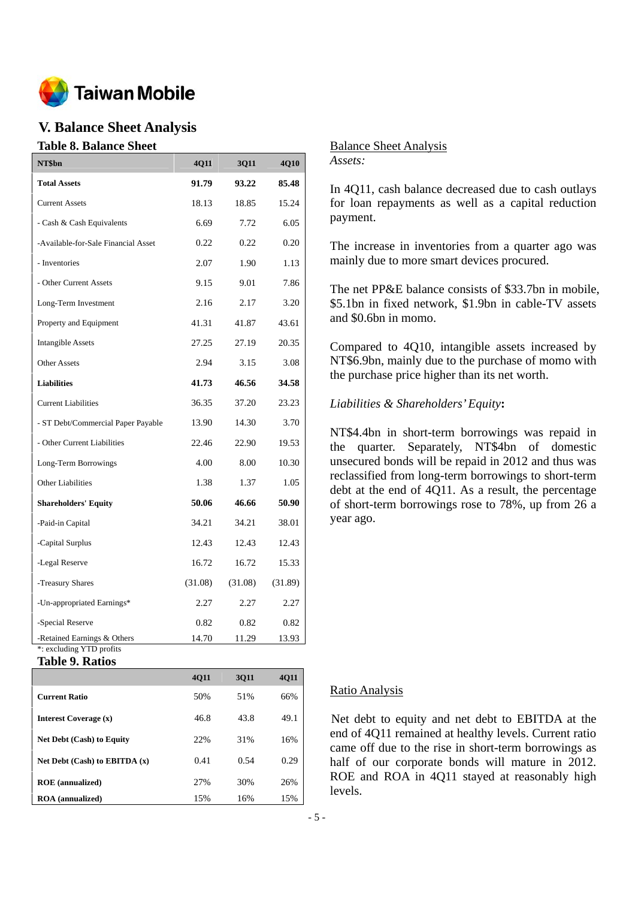

# **V. Balance Sheet Analysis**

#### **Table 8. Balance Sheet**

| NT\$bn                                                  | 4Q11    | <b>3Q11</b> | <b>4Q10</b> |
|---------------------------------------------------------|---------|-------------|-------------|
| <b>Total Assets</b>                                     | 91.79   | 93.22       | 85.48       |
| <b>Current Assets</b>                                   | 18.13   | 18.85       | 15.24       |
| - Cash & Cash Equivalents                               | 6.69    | 7.72        | 6.05        |
| -Available-for-Sale Financial Asset                     | 0.22    | 0.22        | 0.20        |
| - Inventories                                           | 2.07    | 1.90        | 1.13        |
| - Other Current Assets                                  | 9.15    | 9.01        | 7.86        |
| Long-Term Investment                                    | 2.16    | 2.17        | 3.20        |
| Property and Equipment                                  | 41.31   | 41.87       | 43.61       |
| <b>Intangible Assets</b>                                | 27.25   | 27.19       | 20.35       |
| <b>Other Assets</b>                                     | 2.94    | 3.15        | 3.08        |
| <b>Liabilities</b>                                      | 41.73   | 46.56       | 34.58       |
| <b>Current Liabilities</b>                              | 36.35   | 37.20       | 23.23       |
| - ST Debt/Commercial Paper Payable                      | 13.90   | 14.30       | 3.70        |
| - Other Current Liabilities                             | 22.46   | 22.90       | 19.53       |
| Long-Term Borrowings                                    | 4.00    | 8.00        | 10.30       |
| <b>Other Liabilities</b>                                | 1.38    | 1.37        | 1.05        |
| <b>Shareholders' Equity</b>                             | 50.06   | 46.66       | 50.90       |
| -Paid-in Capital                                        | 34.21   | 34.21       | 38.01       |
| -Capital Surplus                                        | 12.43   | 12.43       | 12.43       |
| -Legal Reserve                                          | 16.72   | 16.72       | 15.33       |
| -Treasury Shares                                        | (31.08) | (31.08)     | (31.89)     |
| -Un-appropriated Earnings*                              | 2.27    | 2.27        | 2.27        |
| -Special Reserve                                        | 0.82    | 0.82        | 0.82        |
| -Retained Earnings & Others<br>*: excluding YTD profits | 14.70   | 11.29       | 13.93       |

**Table 9. Ratios** 

|                                  | <b>4011</b> | 3011 | 4Q11 |
|----------------------------------|-------------|------|------|
| <b>Current Ratio</b>             | 50%         | 51%  | 66%  |
| Interest Coverage (x)            | 46.8        | 43.8 | 49.1 |
| <b>Net Debt (Cash) to Equity</b> | 22%         | 31%  | 16%  |
| Net Debt (Cash) to EBITDA $(x)$  | 0.41        | 0.54 | 0.29 |
| <b>ROE</b> (annualized)          | 27%         | 30%  | 26%  |
| <b>ROA</b> (annualized)          | 15%         | 16%  | 15%  |

Balance Sheet Analysis *Assets:* 

In 4Q11, cash balance decreased due to cash outlays for loan repayments as well as a capital reduction payment.

The increase in inventories from a quarter ago was mainly due to more smart devices procured.

The net PP&E balance consists of \$33.7bn in mobile, \$5.1bn in fixed network, \$1.9bn in cable-TV assets and \$0.6bn in momo.

Compared to 4Q10, intangible assets increased by NT\$6.9bn, mainly due to the purchase of momo with the purchase price higher than its net worth.

#### *Liabilities & Shareholders' Equity***:**

NT\$4.4bn in short-term borrowings was repaid in the quarter. Separately, NT\$4bn of domestic unsecured bonds will be repaid in 2012 and thus was reclassified from long-term borrowings to short-term debt at the end of 4Q11. As a result, the percentage of short-term borrowings rose to 78%, up from 26 a year ago.

#### Ratio Analysis

Net debt to equity and net debt to EBITDA at the end of 4Q11 remained at healthy levels. Current ratio came off due to the rise in short-term borrowings as half of our corporate bonds will mature in 2012. ROE and ROA in 4Q11 stayed at reasonably high levels.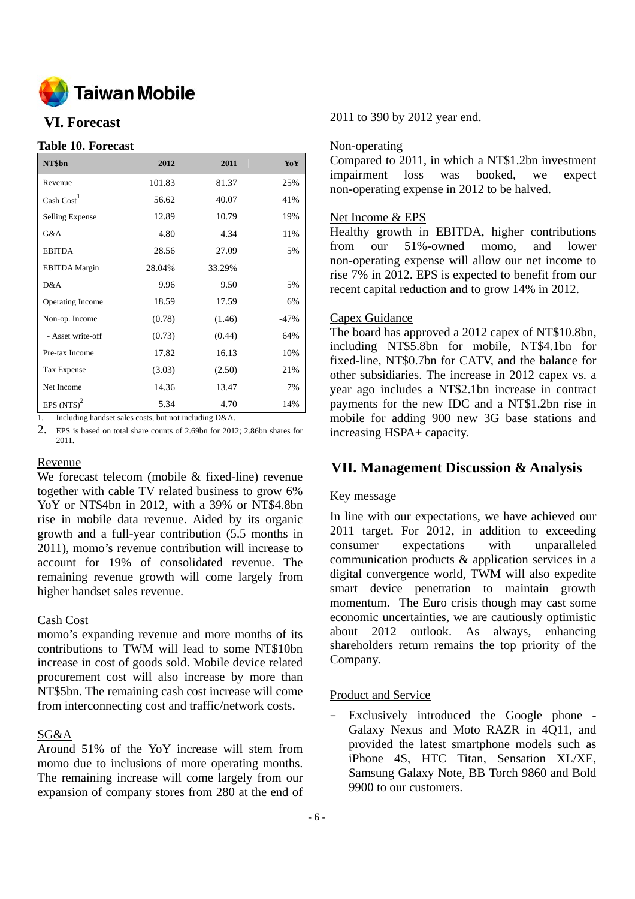

# **VI. Forecast**

### **Table 10. Forecast**

| NT\$bn                 | 2012   | 2011   | YoY    |
|------------------------|--------|--------|--------|
| Revenue                | 101.83 | 81.37  | 25%    |
| Cash Cost <sup>1</sup> | 56.62  | 40.07  | 41%    |
| Selling Expense        | 12.89  | 10.79  | 19%    |
| G&A                    | 4.80   | 4.34   | 11%    |
| <b>EBITDA</b>          | 28.56  | 27.09  | 5%     |
| <b>EBITDA</b> Margin   | 28.04% | 33.29% |        |
| D&A                    | 9.96   | 9.50   | 5%     |
| Operating Income       | 18.59  | 17.59  | 6%     |
| Non-op. Income         | (0.78) | (1.46) | $-47%$ |
| - Asset write-off      | (0.73) | (0.44) | 64%    |
| Pre-tax Income         | 17.82  | 16.13  | 10%    |
| Tax Expense            | (3.03) | (2.50) | 21%    |
| Net Income             | 14.36  | 13.47  | 7%     |
| EPS $(NTS)^2$          | 5.34   | 4.70   | 14%    |

1. Including handset sales costs, but not including D&A.

2. EPS is based on total share counts of 2.69bn for 2012; 2.86bn shares for 2011.

#### Revenue

We forecast telecom (mobile & fixed-line) revenue together with cable TV related business to grow 6% YoY or NT\$4bn in 2012, with a 39% or NT\$4.8bn rise in mobile data revenue. Aided by its organic growth and a full-year contribution (5.5 months in 2011), momo's revenue contribution will increase to account for 19% of consolidated revenue. The remaining revenue growth will come largely from higher handset sales revenue.

### Cash Cost

momo's expanding revenue and more months of its contributions to TWM will lead to some NT\$10bn increase in cost of goods sold. Mobile device related procurement cost will also increase by more than NT\$5bn. The remaining cash cost increase will come from interconnecting cost and traffic/network costs.

# SG&A

Around 51% of the YoY increase will stem from momo due to inclusions of more operating months. The remaining increase will come largely from our expansion of company stores from 280 at the end of 2011 to 390 by 2012 year end.

### Non-operating

Compared to 2011, in which a NT\$1.2bn investment impairment loss was booked, we expect non-operating expense in 2012 to be halved.

### Net Income & EPS

Healthy growth in EBITDA, higher contributions from our 51%-owned momo, and lower non-operating expense will allow our net income to rise 7% in 2012. EPS is expected to benefit from our recent capital reduction and to grow 14% in 2012.

# Capex Guidance

The board has approved a 2012 capex of NT\$10.8bn, including NT\$5.8bn for mobile, NT\$4.1bn for fixed-line, NT\$0.7bn for CATV, and the balance for other subsidiaries. The increase in 2012 capex vs. a year ago includes a NT\$2.1bn increase in contract payments for the new IDC and a NT\$1.2bn rise in mobile for adding 900 new 3G base stations and increasing HSPA+ capacity.

# **VII. Management Discussion & Analysis**

# Key message

In line with our expectations, we have achieved our 2011 target. For 2012, in addition to exceeding consumer expectations with unparalleled communication products & application services in a digital convergence world, TWM will also expedite smart device penetration to maintain growth momentum. The Euro crisis though may cast some economic uncertainties, we are cautiously optimistic about 2012 outlook. As always, enhancing shareholders return remains the top priority of the Company.

# Product and Service

– Exclusively introduced the Google phone - Galaxy Nexus and Moto RAZR in 4Q11, and provided the latest smartphone models such as iPhone 4S, HTC Titan, Sensation XL/XE, Samsung Galaxy Note, BB Torch 9860 and Bold 9900 to our customers.